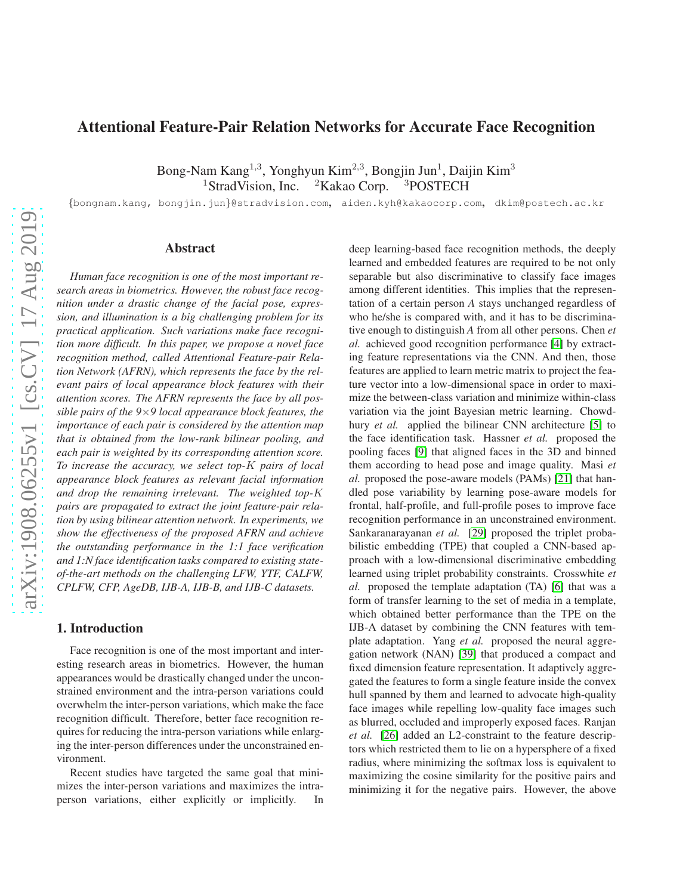# Attentional Feature-Pair Relation Networks for Accurate Face Recognition

Bong-Nam Kang<sup>1,3</sup>, Yonghyun Kim<sup>2,3</sup>, Bongjin Jun<sup>1</sup>, Daijin Kim<sup>3</sup> <sup>1</sup>StradVision, Inc. <sup>2</sup>Kakao Corp. <sup>3</sup>POSTECH

{bongnam.kang, bongjin.jun}@stradvision.com, aiden.kyh@kakaocorp.com, dkim@postech.ac.kr

# Abstract

*Human face recognition is one of the most important research areas in biometrics. However, the robust face recognition under a drastic change of the facial pose, expression, and illumination is a big challenging problem for its practical application. Such variations make face recognition more difficult. In this paper, we propose a novel face recognition method, called Attentional Feature-pair Relation Network (AFRN), which represents the face by the relevant pairs of local appearance block features with their attention scores. The AFRN represents the face by all possible pairs of the 9*×*9 local appearance block features, the importance of each pair is considered by the attention map that is obtained from the low-rank bilinear pooling, and each pair is weighted by its corresponding attention score. To increase the accuracy, we select top-*K *pairs of local appearance block features as relevant facial information and drop the remaining irrelevant. The weighted top-*K *pairs are propagated to extract the joint feature-pair relation by using bilinear attention network. In experiments, we show the effectiveness of the proposed AFRN and achieve the outstanding performance in the 1:1 face verification and 1:N face identification tasks compared to existing stateof-the-art methods on the challenging LFW, YTF, CALFW, CPLFW, CFP, AgeDB, IJB-A, IJB-B, and IJB-C datasets.*

# 1. Introduction

Face recognition is one of the most important and interesting research areas in biometrics. However, the human appearances would be drastically changed under the unconstrained environment and the intra-person variations could overwhelm the inter-person variations, which make the face recognition difficult. Therefore, better face recognition requires for reducing the intra-person variations while enlarging the inter-person differences under the unconstrained environment.

Recent studies have targeted the same goal that minimizes the inter-person variations and maximizes the intraperson variations, either explicitly or implicitly. In deep learning-based face recognition methods, the deeply learned and embedded features are required to be not only separable but also discriminative to classify face images among different identities. This implies that the representation of a certain person *A* stays unchanged regardless of who he/she is compared with, and it has to be discriminative enough to distinguish *A* from all other persons. Chen *et al.* achieved good recognition performance [\[4\]](#page-8-0) by extracting feature representations via the CNN. And then, those features are applied to learn metric matrix to project the feature vector into a low-dimensional space in order to maximize the between-class variation and minimize within-class variation via the joint Bayesian metric learning. Chowdhury *et al.* applied the bilinear CNN architecture [\[5\]](#page-8-1) to the face identification task. Hassner *et al.* proposed the pooling faces [\[9\]](#page-8-2) that aligned faces in the 3D and binned them according to head pose and image quality. Masi *et al.* proposed the pose-aware models (PAMs) [\[21\]](#page-8-3) that handled pose variability by learning pose-aware models for frontal, half-profile, and full-profile poses to improve face recognition performance in an unconstrained environment. Sankaranarayanan *et al.* [\[29\]](#page-9-0) proposed the triplet probabilistic embedding (TPE) that coupled a CNN-based approach with a low-dimensional discriminative embedding learned using triplet probability constraints. Crosswhite *et al.* proposed the template adaptation (TA) [\[6\]](#page-8-4) that was a form of transfer learning to the set of media in a template, which obtained better performance than the TPE on the IJB-A dataset by combining the CNN features with template adaptation. Yang *et al.* proposed the neural aggregation network (NAN) [\[39\]](#page-9-1) that produced a compact and fixed dimension feature representation. It adaptively aggregated the features to form a single feature inside the convex hull spanned by them and learned to advocate high-quality face images while repelling low-quality face images such as blurred, occluded and improperly exposed faces. Ranjan *et al.* [\[26\]](#page-9-2) added an L2-constraint to the feature descriptors which restricted them to lie on a hypersphere of a fixed radius, where minimizing the softmax loss is equivalent to maximizing the cosine similarity for the positive pairs and minimizing it for the negative pairs. However, the above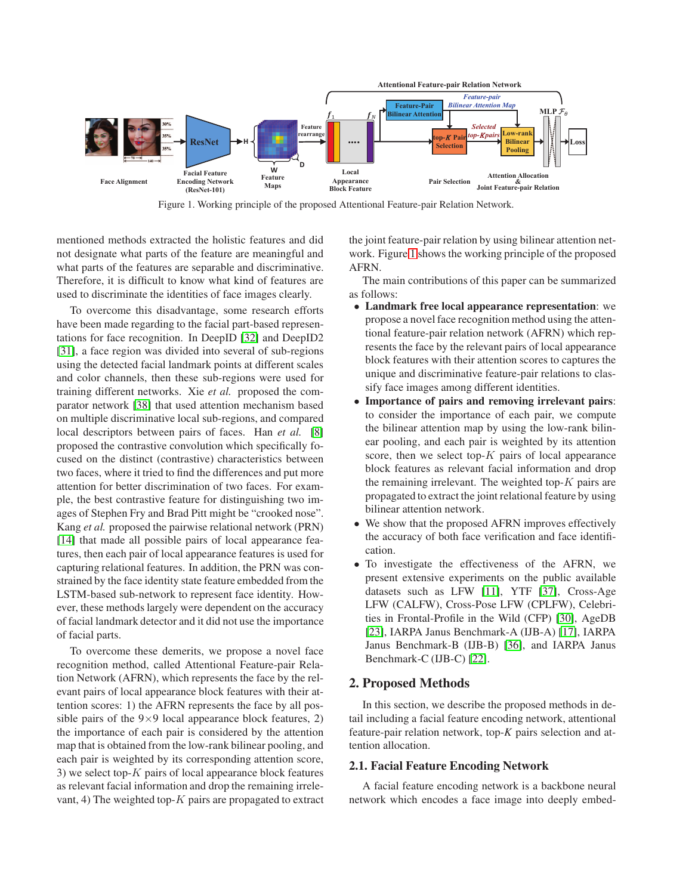

<span id="page-1-0"></span>Figure 1. Working principle of the proposed Attentional Feature-pair Relation Network.

mentioned methods extracted the holistic features and did not designate what parts of the feature are meaningful and what parts of the features are separable and discriminative. Therefore, it is difficult to know what kind of features are used to discriminate the identities of face images clearly.

To overcome this disadvantage, some research efforts have been made regarding to the facial part-based representations for face recognition. In DeepID [\[32\]](#page-9-3) and DeepID2 [\[31\]](#page-9-4), a face region was divided into several of sub-regions using the detected facial landmark points at different scales and color channels, then these sub-regions were used for training different networks. Xie *et al.* proposed the comparator network [\[38\]](#page-9-5) that used attention mechanism based on multiple discriminative local sub-regions, and compared local descriptors between pairs of faces. Han *et al.* [\[8\]](#page-8-5) proposed the contrastive convolution which specifically focused on the distinct (contrastive) characteristics between two faces, where it tried to find the differences and put more attention for better discrimination of two faces. For example, the best contrastive feature for distinguishing two images of Stephen Fry and Brad Pitt might be "crooked nose". Kang *et al.* proposed the pairwise relational network (PRN) [\[14\]](#page-8-6) that made all possible pairs of local appearance features, then each pair of local appearance features is used for capturing relational features. In addition, the PRN was constrained by the face identity state feature embedded from the LSTM-based sub-network to represent face identity. However, these methods largely were dependent on the accuracy of facial landmark detector and it did not use the importance of facial parts.

To overcome these demerits, we propose a novel face recognition method, called Attentional Feature-pair Relation Network (AFRN), which represents the face by the relevant pairs of local appearance block features with their attention scores: 1) the AFRN represents the face by all possible pairs of the  $9\times9$  local appearance block features, 2) the importance of each pair is considered by the attention map that is obtained from the low-rank bilinear pooling, and each pair is weighted by its corresponding attention score, 3) we select top- $K$  pairs of local appearance block features as relevant facial information and drop the remaining irrelevant, 4) The weighted top- $K$  pairs are propagated to extract the joint feature-pair relation by using bilinear attention network. Figure [1](#page-1-0) shows the working principle of the proposed AFRN.

The main contributions of this paper can be summarized as follows:

- Landmark free local appearance representation: we propose a novel face recognition method using the attentional feature-pair relation network (AFRN) which represents the face by the relevant pairs of local appearance block features with their attention scores to captures the unique and discriminative feature-pair relations to classify face images among different identities.
- Importance of pairs and removing irrelevant pairs: to consider the importance of each pair, we compute the bilinear attention map by using the low-rank bilinear pooling, and each pair is weighted by its attention score, then we select top- $K$  pairs of local appearance block features as relevant facial information and drop the remaining irrelevant. The weighted top- $K$  pairs are propagated to extract the joint relational feature by using bilinear attention network.
- We show that the proposed AFRN improves effectively the accuracy of both face verification and face identification.
- To investigate the effectiveness of the AFRN, we present extensive experiments on the public available datasets such as LFW [\[11\]](#page-8-7), YTF [\[37\]](#page-9-6), Cross-Age LFW (CALFW), Cross-Pose LFW (CPLFW), Celebrities in Frontal-Profile in the Wild (CFP) [\[30\]](#page-9-7), AgeDB [\[23\]](#page-8-8), IARPA Janus Benchmark-A (IJB-A) [\[17\]](#page-8-9), IARPA Janus Benchmark-B (IJB-B) [\[36\]](#page-9-8), and IARPA Janus Benchmark-C (IJB-C) [\[22\]](#page-8-10).

# 2. Proposed Methods

In this section, we describe the proposed methods in detail including a facial feature encoding network, attentional feature-pair relation network, top-*K* pairs selection and attention allocation.

#### 2.1. Facial Feature Encoding Network

A facial feature encoding network is a backbone neural network which encodes a face image into deeply embed-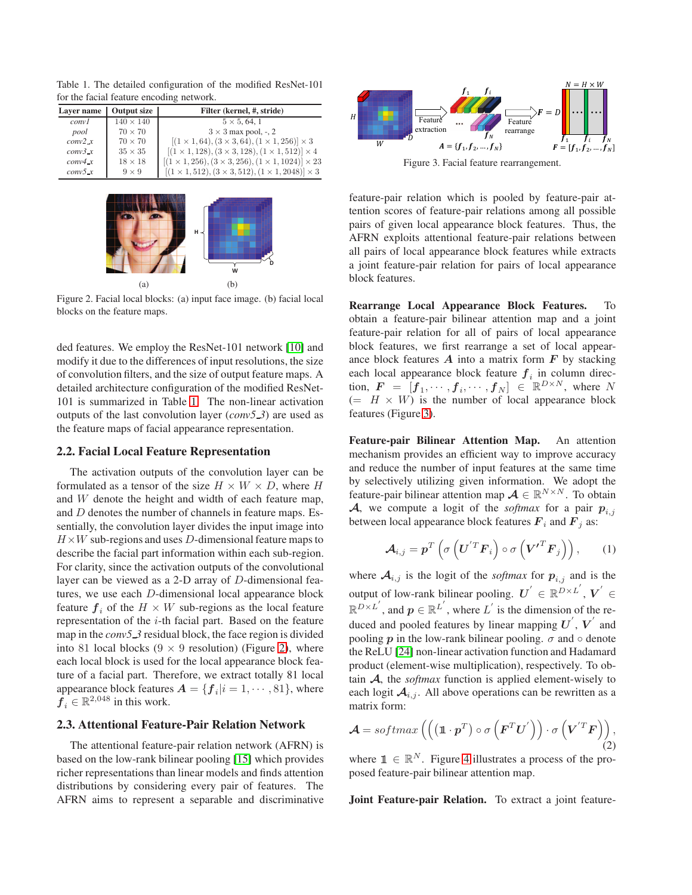<span id="page-2-0"></span>Table 1. The detailed configuration of the modified ResNet-101 for the facial feature encoding network.

| Laver name | <b>Output size</b> | Filter (kernel, #, stride)                                             |  |  |  |  |  |
|------------|--------------------|------------------------------------------------------------------------|--|--|--|--|--|
| conv1      | $140 \times 140$   | $5 \times 5, 64, 1$                                                    |  |  |  |  |  |
| pool       | $70 \times 70$     | $3 \times 3$ max pool, $-$ , 2                                         |  |  |  |  |  |
| $conv2_x$  | $70 \times 70$     | $[(1 \times 1, 64), (3 \times 3, 64), (1 \times 1, 256)] \times 3$     |  |  |  |  |  |
| $conv3_x$  | $35 \times 35$     | $[(1 \times 1, 128), (3 \times 3, 128), (1 \times 1, 512)] \times 4$   |  |  |  |  |  |
| $conv4_x$  | $18 \times 18$     | $[(1 \times 1, 256), (3 \times 3, 256), (1 \times 1, 1024)] \times 23$ |  |  |  |  |  |
| conv5x     | $9 \times 9$       | $[(1 \times 1, 512), (3 \times 3, 512), (1 \times 1, 2048)] \times 3$  |  |  |  |  |  |
|            |                    |                                                                        |  |  |  |  |  |
|            |                    |                                                                        |  |  |  |  |  |



<span id="page-2-1"></span>Figure 2. Facial local blocks: (a) input face image. (b) facial local blocks on the feature maps.

ded features. We employ the ResNet-101 network [\[10\]](#page-8-11) and modify it due to the differences of input resolutions, the size of convolution filters, and the size of output feature maps. A detailed architecture configuration of the modified ResNet-101 is summarized in Table [1.](#page-2-0) The non-linear activation outputs of the last convolution layer (*conv5 3*) are used as the feature maps of facial appearance representation.

## 2.2. Facial Local Feature Representation

The activation outputs of the convolution layer can be formulated as a tensor of the size  $H \times W \times D$ , where H and W denote the height and width of each feature map, and D denotes the number of channels in feature maps. Essentially, the convolution layer divides the input image into  $H \times W$  sub-regions and uses D-dimensional feature maps to describe the facial part information within each sub-region. For clarity, since the activation outputs of the convolutional layer can be viewed as a 2-D array of D-dimensional features, we use each D-dimensional local appearance block feature  $f_i$  of the  $H \times W$  sub-regions as the local feature representation of the i-th facial part. Based on the feature map in the *conv5 3* residual block, the face region is divided into 81 local blocks ( $9 \times 9$  resolution) (Figure [2\)](#page-2-1), where each local block is used for the local appearance block feature of a facial part. Therefore, we extract totally 81 local appearance block features  $\boldsymbol{A} = \{\boldsymbol{f}_i | i = 1, \cdots, 81\},$  where  $\overline{f}_i \in \mathbb{R}^{2,048}$  in this work.

#### 2.3. Attentional Feature-Pair Relation Network

The attentional feature-pair relation network (AFRN) is based on the low-rank bilinear pooling [\[15\]](#page-8-12) which provides richer representations than linear models and finds attention distributions by considering every pair of features. The AFRN aims to represent a separable and discriminative



<span id="page-2-2"></span>Figure 3. Facial feature rearrangement.

feature-pair relation which is pooled by feature-pair attention scores of feature-pair relations among all possible pairs of given local appearance block features. Thus, the AFRN exploits attentional feature-pair relations between all pairs of local appearance block features while extracts a joint feature-pair relation for pairs of local appearance block features.

Rearrange Local Appearance Block Features. To obtain a feature-pair bilinear attention map and a joint feature-pair relation for all of pairs of local appearance block features, we first rearrange a set of local appearance block features  $A$  into a matrix form  $F$  by stacking each local appearance block feature  $f_i$  in column direction,  $\mathbf{F} = [\mathbf{f}_1, \cdots, \mathbf{f}_i, \cdots, \mathbf{f}_N] \in \mathbb{R}^{D \times N}$ , where N  $(= H \times W)$  is the number of local appearance block features (Figure [3\)](#page-2-2).

Feature-pair Bilinear Attention Map. An attention mechanism provides an efficient way to improve accuracy and reduce the number of input features at the same time by selectively utilizing given information. We adopt the feature-pair bilinear attention map  $\mathcal{A} \in \mathbb{R}^{N \times N}$ . To obtain A, we compute a logit of the *softmax* for a pair  $p_{i,j}$ between local appearance block features  $F_i$  and  $F_j$  as:

$$
\mathcal{A}_{i,j} = p^T \left( \sigma \left( \boldsymbol{U}^{'T} \boldsymbol{F}_i \right) \circ \sigma \left( \boldsymbol{V'}^T \boldsymbol{F}_j \right) \right), \qquad (1)
$$

where  $A_{i,j}$  is the logit of the *softmax* for  $p_{i,j}$  and is the output of low-rank bilinear pooling.  $U^{'} \in \mathbb{R}^{D \times L^{'}}$ ,  $V^{'} \in$  $\mathbb{R}^{D \times L'}$ , and  $p \in \mathbb{R}^{L'}$ , where  $L'$  is the dimension of the reduced and pooled features by linear mapping  $\boldsymbol{U}'$ ,  $\boldsymbol{V}'$  and pooling p in the low-rank bilinear pooling.  $\sigma$  and  $\circ$  denote the ReLU [\[24\]](#page-8-13) non-linear activation function and Hadamard product (element-wise multiplication), respectively. To obtain A, the *softmax* function is applied element-wisely to each logit  $A_{i,j}$ . All above operations can be rewritten as a matrix form:

$$
\mathcal{A} = softmax\left(\left(\left(\mathbf{1} \cdot \boldsymbol{p}^T\right) \circ \sigma\left(\boldsymbol{F}^T \boldsymbol{U}'\right)\right) \cdot \sigma\left(\boldsymbol{V}'^T \boldsymbol{F}\right)\right),\tag{2}
$$

where  $\mathbf{1} \in \mathbb{R}^N$ . Figure [4](#page-3-0) illustrates a process of the proposed feature-pair bilinear attention map.

Joint Feature-pair Relation. To extract a joint feature-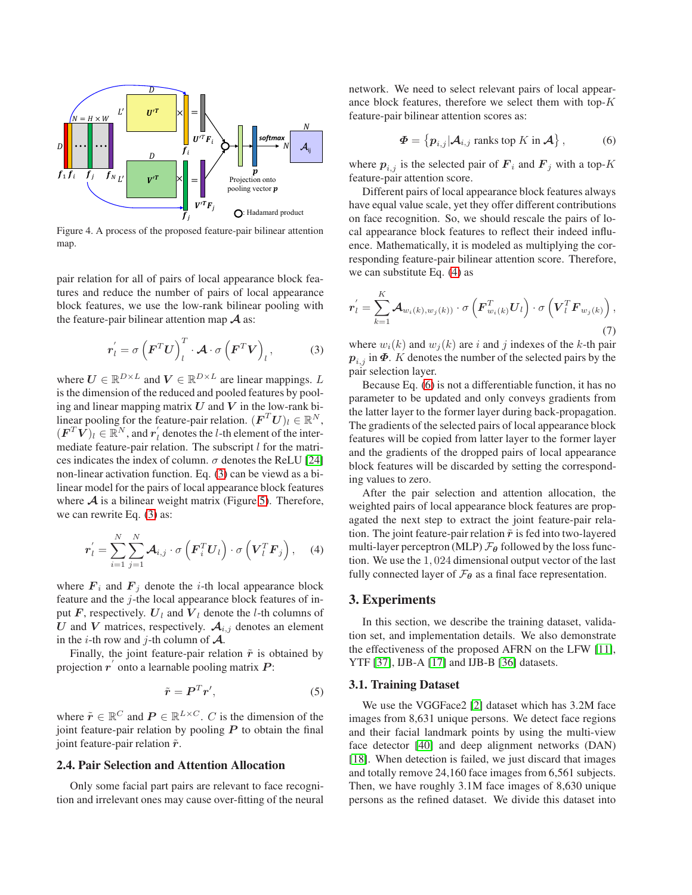

<span id="page-3-0"></span>Figure 4. A process of the proposed feature-pair bilinear attention map.

pair relation for all of pairs of local appearance block features and reduce the number of pairs of local appearance block features, we use the low-rank bilinear pooling with the feature-pair bilinear attention map  $\mathcal A$  as:

<span id="page-3-1"></span>
$$
\boldsymbol{r}'_l = \sigma \left( \boldsymbol{F}^T \boldsymbol{U} \right)_l^T \cdot \boldsymbol{\mathcal{A}} \cdot \sigma \left( \boldsymbol{F}^T \boldsymbol{V} \right)_l, \tag{3}
$$

where  $U \in \mathbb{R}^{D \times L}$  and  $V \in \mathbb{R}^{D \times L}$  are linear mappings. L is the dimension of the reduced and pooled features by pooling and linear mapping matrix  $U$  and  $V$  in the low-rank bilinear pooling for the feature-pair relation.  $(\boldsymbol{F}^T \boldsymbol{U})_l \in \mathbb{R}^N$ ,  $(\boldsymbol{F}^T \boldsymbol{V})_l \in \mathbb{R}^N$ , and  $\boldsymbol{r}'_l$  $\hat{l}_l$  denotes the *l*-th element of the intermediate feature-pair relation. The subscript  $l$  for the matrices indicates the index of column.  $\sigma$  denotes the ReLU [\[24\]](#page-8-13) non-linear activation function. Eq. [\(3\)](#page-3-1) can be viewd as a bilinear model for the pairs of local appearance block features where  $A$  is a bilinear weight matrix (Figure [5\)](#page-4-0). Therefore, we can rewrite Eq. [\(3\)](#page-3-1) as:

<span id="page-3-2"></span>
$$
\boldsymbol{r}'_l = \sum_{i=1}^N \sum_{j=1}^N \boldsymbol{\mathcal{A}}_{i,j} \cdot \sigma \left( \boldsymbol{F}_i^T \boldsymbol{U}_l \right) \cdot \sigma \left( \boldsymbol{V}_l^T \boldsymbol{F}_j \right), \quad (4)
$$

where  $\mathbf{F}_i$  and  $\mathbf{F}_j$  denote the *i*-th local appearance block feature and the  $j$ -the local appearance block features of input  $\mathbf{F}$ , respectively.  $\mathbf{U}_l$  and  $\mathbf{V}_l$  denote the l-th columns of U and V matrices, respectively.  $A_{i,j}$  denotes an element in the *i*-th row and *j*-th column of  $\mathcal{A}$ .

Finally, the joint feature-pair relation  $\tilde{r}$  is obtained by projection  $\vec{r}$  onto a learnable pooling matrix  $\vec{P}$ :

$$
\tilde{\boldsymbol{r}} = \boldsymbol{P}^T \boldsymbol{r}',\tag{5}
$$

where  $\tilde{r} \in \mathbb{R}^C$  and  $P \in \mathbb{R}^{L \times C}$ . C is the dimension of the joint feature-pair relation by pooling  $P$  to obtain the final joint feature-pair relation  $\tilde{r}$ .

#### 2.4. Pair Selection and Attention Allocation

Only some facial part pairs are relevant to face recognition and irrelevant ones may cause over-fitting of the neural network. We need to select relevant pairs of local appearance block features, therefore we select them with top- $K$ feature-pair bilinear attention scores as:

<span id="page-3-3"></span>
$$
\boldsymbol{\Phi} = \left\{ \boldsymbol{p}_{i,j} | \boldsymbol{\mathcal{A}}_{i,j} \text{ ranks top } K \text{ in } \boldsymbol{\mathcal{A}} \right\},\tag{6}
$$

where  $p_{i,j}$  is the selected pair of  $F_i$  and  $F_j$  with a top-K feature-pair attention score.

Different pairs of local appearance block features always have equal value scale, yet they offer different contributions on face recognition. So, we should rescale the pairs of local appearance block features to reflect their indeed influence. Mathematically, it is modeled as multiplying the corresponding feature-pair bilinear attention score. Therefore, we can substitute Eq. [\(4\)](#page-3-2) as

$$
\boldsymbol{r}'_l = \sum_{k=1}^K \boldsymbol{\mathcal{A}}_{w_i(k), w_j(k))} \cdot \sigma \left( \boldsymbol{F}_{w_i(k)}^T \boldsymbol{U}_l \right) \cdot \sigma \left( \boldsymbol{V}_l^T \boldsymbol{F}_{w_j(k)} \right), \tag{7}
$$

where  $w_i(k)$  and  $w_j(k)$  are i and j indexes of the k-th pair  $p_{i,j}$  in  $\Phi$ . K denotes the number of the selected pairs by the pair selection layer.

Because Eq. [\(6\)](#page-3-3) is not a differentiable function, it has no parameter to be updated and only conveys gradients from the latter layer to the former layer during back-propagation. The gradients of the selected pairs of local appearance block features will be copied from latter layer to the former layer and the gradients of the dropped pairs of local appearance block features will be discarded by setting the corresponding values to zero.

After the pair selection and attention allocation, the weighted pairs of local appearance block features are propagated the next step to extract the joint feature-pair relation. The joint feature-pair relation  $\tilde{r}$  is fed into two-layered multi-layer perceptron (MLP)  $\mathcal{F}_{\theta}$  followed by the loss function. We use the 1, 024 dimensional output vector of the last fully connected layer of  $\mathcal{F}_{\theta}$  as a final face representation.

# 3. Experiments

In this section, we describe the training dataset, validation set, and implementation details. We also demonstrate the effectiveness of the proposed AFRN on the LFW [\[11\]](#page-8-7), YTF [\[37\]](#page-9-6), IJB-A [\[17\]](#page-8-9) and IJB-B [\[36\]](#page-9-8) datasets.

#### 3.1. Training Dataset

We use the VGGFace2 [\[2\]](#page-8-14) dataset which has 3.2M face images from 8,631 unique persons. We detect face regions and their facial landmark points by using the multi-view face detector [\[40\]](#page-9-9) and deep alignment networks (DAN) [\[18\]](#page-8-15). When detection is failed, we just discard that images and totally remove 24,160 face images from 6,561 subjects. Then, we have roughly 3.1M face images of 8,630 unique persons as the refined dataset. We divide this dataset into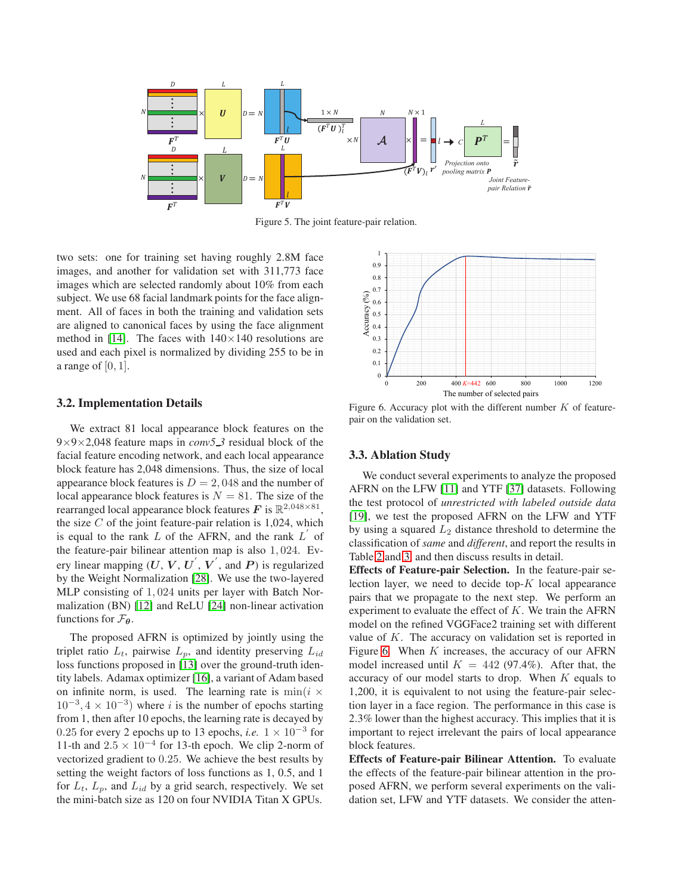

<span id="page-4-0"></span>Figure 5. The joint feature-pair relation.

two sets: one for training set having roughly 2.8M face images, and another for validation set with 311,773 face images which are selected randomly about 10% from each subject. We use 68 facial landmark points for the face alignment. All of faces in both the training and validation sets are aligned to canonical faces by using the face alignment method in [\[14\]](#page-8-6). The faces with  $140\times140$  resolutions are used and each pixel is normalized by dividing 255 to be in a range of  $[0, 1]$ .

#### 3.2. Implementation Details

We extract 81 local appearance block features on the 9×9×2,048 feature maps in *conv5 3* residual block of the facial feature encoding network, and each local appearance block feature has 2,048 dimensions. Thus, the size of local appearance block features is  $D = 2,048$  and the number of local appearance block features is  $N = 81$ . The size of the rearranged local appearance block features  $\boldsymbol{F}$  is  $\mathbb{R}^{2,048\times81}$ , the size  $C$  of the joint feature-pair relation is 1,024, which is equal to the rank  $L$  of the AFRN, and the rank  $L'$  of the feature-pair bilinear attention map is also 1, 024. Every linear mapping  $(U, V, U', V', \text{ and } P)$  is regularized by the Weight Normalization [\[28\]](#page-9-10). We use the two-layered MLP consisting of 1, 024 units per layer with Batch Normalization (BN) [\[12\]](#page-8-16) and ReLU [\[24\]](#page-8-13) non-linear activation functions for  $\mathcal{F}_{\theta}$ .

The proposed AFRN is optimized by jointly using the triplet ratio  $L_t$ , pairwise  $L_p$ , and identity preserving  $L_{id}$ loss functions proposed in [\[13\]](#page-8-17) over the ground-truth identity labels. Adamax optimizer [\[16\]](#page-8-18), a variant of Adam based on infinite norm, is used. The learning rate is  $\min(i \times$  $10^{-3}$ ,  $4 \times 10^{-3}$ ) where *i* is the number of epochs starting from 1, then after 10 epochs, the learning rate is decayed by 0.25 for every 2 epochs up to 13 epochs, *i.e.*  $1 \times 10^{-3}$  for 11-th and  $2.5 \times 10^{-4}$  for 13-th epoch. We clip 2-norm of vectorized gradient to 0.25. We achieve the best results by setting the weight factors of loss functions as 1, 0.5, and 1 for  $L_t$ ,  $L_p$ , and  $L_{id}$  by a grid search, respectively. We set the mini-batch size as 120 on four NVIDIA Titan X GPUs.



<span id="page-4-1"></span>Figure 6. Accuracy plot with the different number  $K$  of featurepair on the validation set.

#### 3.3. Ablation Study

We conduct several experiments to analyze the proposed AFRN on the LFW [\[11\]](#page-8-7) and YTF [\[37\]](#page-9-6) datasets. Following the test protocol of *unrestricted with labeled outside data* [\[19\]](#page-8-19), we test the proposed AFRN on the LFW and YTF by using a squared  $L_2$  distance threshold to determine the classification of *same* and *different*, and report the results in Table [2](#page-5-0) and [3,](#page-5-1) and then discuss results in detail.

Effects of Feature-pair Selection. In the feature-pair selection layer, we need to decide top- $K$  local appearance pairs that we propagate to the next step. We perform an experiment to evaluate the effect of  $K$ . We train the AFRN model on the refined VGGFace2 training set with different value of K. The accuracy on validation set is reported in Figure [6.](#page-4-1) When  $K$  increases, the accuracy of our AFRN model increased until  $K = 442 (97.4\%)$ . After that, the accuracy of our model starts to drop. When  $K$  equals to 1,200, it is equivalent to not using the feature-pair selection layer in a face region. The performance in this case is 2.3% lower than the highest accuracy. This implies that it is important to reject irrelevant the pairs of local appearance block features.

Effects of Feature-pair Bilinear Attention. To evaluate the effects of the feature-pair bilinear attention in the proposed AFRN, we perform several experiments on the validation set, LFW and YTF datasets. We consider the atten-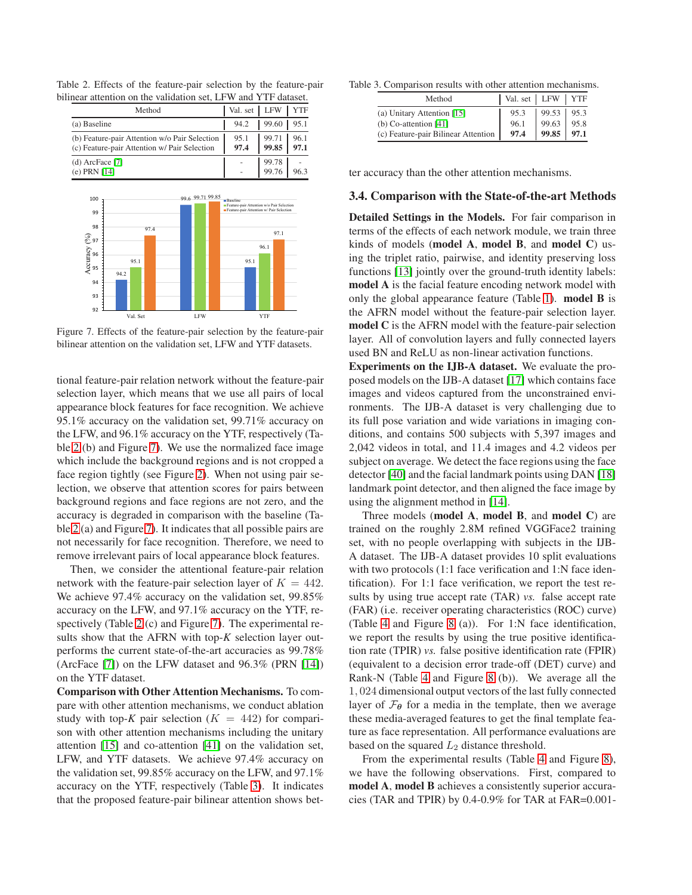Table 2. Effects of the feature-pair selection by the feature-pair bilinear attention on the validation set, LFW and YTF dataset.

<span id="page-5-0"></span>

| Method                                                                                        | Val. set LFW                                                 |                | <b>YTF</b>   |
|-----------------------------------------------------------------------------------------------|--------------------------------------------------------------|----------------|--------------|
| (a) Baseline                                                                                  | 94.2                                                         | 99.60          | 95.1         |
| (b) Feature-pair Attention w/o Pair Selection<br>(c) Feature-pair Attention w/ Pair Selection | 95.1<br>97.4                                                 | 99.71<br>99.85 | 96.1<br>97.1 |
| (d) ArcFace $[7]$<br>(e) PRN $[14]$                                                           |                                                              | 99.78<br>99.76 | 96.3         |
| 99.71 99.85<br>99.6<br>100                                                                    | <b>Baseline</b><br>Feature-pair Attention w/o Pair Selection |                |              |



<span id="page-5-2"></span>Figure 7. Effects of the feature-pair selection by the feature-pair bilinear attention on the validation set, LFW and YTF datasets.

tional feature-pair relation network without the feature-pair selection layer, which means that we use all pairs of local appearance block features for face recognition. We achieve 95.1% accuracy on the validation set, 99.71% accuracy on the LFW, and 96.1% accuracy on the YTF, respectively (Table [2](#page-5-0) (b) and Figure [7\)](#page-5-2). We use the normalized face image which include the background regions and is not cropped a face region tightly (see Figure [2\)](#page-2-1). When not using pair selection, we observe that attention scores for pairs between background regions and face regions are not zero, and the accuracy is degraded in comparison with the baseline (Table [2](#page-5-0) (a) and Figure [7\)](#page-5-2). It indicates that all possible pairs are not necessarily for face recognition. Therefore, we need to remove irrelevant pairs of local appearance block features.

Then, we consider the attentional feature-pair relation network with the feature-pair selection layer of  $K = 442$ . We achieve 97.4% accuracy on the validation set, 99.85% accuracy on the LFW, and 97.1% accuracy on the YTF, respectively (Table [2](#page-5-0) (c) and Figure [7\)](#page-5-2). The experimental results show that the AFRN with top-*K* selection layer outperforms the current state-of-the-art accuracies as 99.78% (ArcFace [\[7\]](#page-8-20)) on the LFW dataset and 96.3% (PRN [\[14\]](#page-8-6)) on the YTF dataset.

Comparison with Other Attention Mechanisms. To compare with other attention mechanisms, we conduct ablation study with top-*K* pair selection  $(K = 442)$  for comparison with other attention mechanisms including the unitary attention [\[15\]](#page-8-12) and co-attention [\[41\]](#page-9-11) on the validation set, LFW, and YTF datasets. We achieve 97.4% accuracy on the validation set, 99.85% accuracy on the LFW, and 97.1% accuracy on the YTF, respectively (Table [3\)](#page-5-1). It indicates that the proposed feature-pair bilinear attention shows bet-

Table 3. Comparison results with other attention mechanisms.

<span id="page-5-1"></span>

| Method                              | Val. set LFW YTF |                                                                                               |  |
|-------------------------------------|------------------|-----------------------------------------------------------------------------------------------|--|
| (a) Unitary Attention [15]          | 95.3             | $\begin{array}{ c c c }\n 99.53 & 95.3 \\ 99.63 & 95.8 \\ \hline\n 99.85 & 97.1\n\end{array}$ |  |
| (b) Co-attention $[41]$             | 96.1             |                                                                                               |  |
| (c) Feature-pair Bilinear Attention | 97.4             |                                                                                               |  |

ter accuracy than the other attention mechanisms.

#### 3.4. Comparison with the State-of-the-art Methods

Detailed Settings in the Models. For fair comparison in terms of the effects of each network module, we train three kinds of models (model A, model B, and model C) using the triplet ratio, pairwise, and identity preserving loss functions [\[13\]](#page-8-17) jointly over the ground-truth identity labels: model A is the facial feature encoding network model with only the global appearance feature (Table [1\)](#page-2-0). model B is the AFRN model without the feature-pair selection layer. model C is the AFRN model with the feature-pair selection layer. All of convolution layers and fully connected layers used BN and ReLU as non-linear activation functions.

Experiments on the IJB-A dataset. We evaluate the proposed models on the IJB-A dataset [\[17\]](#page-8-9) which contains face images and videos captured from the unconstrained environments. The IJB-A dataset is very challenging due to its full pose variation and wide variations in imaging conditions, and contains 500 subjects with 5,397 images and 2,042 videos in total, and 11.4 images and 4.2 videos per subject on average. We detect the face regions using the face detector [\[40\]](#page-9-9) and the facial landmark points using DAN [\[18\]](#page-8-15) landmark point detector, and then aligned the face image by using the alignment method in [\[14\]](#page-8-6).

Three models (model A, model B, and model C) are trained on the roughly 2.8M refined VGGFace2 training set, with no people overlapping with subjects in the IJB-A dataset. The IJB-A dataset provides 10 split evaluations with two protocols (1:1 face verification and 1:N face identification). For 1:1 face verification, we report the test results by using true accept rate (TAR) *vs.* false accept rate (FAR) (i.e. receiver operating characteristics (ROC) curve) (Table [4](#page-6-0) and Figure [8](#page-6-1) (a)). For 1:N face identification, we report the results by using the true positive identification rate (TPIR) *vs.* false positive identification rate (FPIR) (equivalent to a decision error trade-off (DET) curve) and Rank-N (Table [4](#page-6-0) and Figure [8](#page-6-1) (b)). We average all the 1, 024 dimensional output vectors of the last fully connected layer of  $\mathcal{F}_{\theta}$  for a media in the template, then we average these media-averaged features to get the final template feature as face representation. All performance evaluations are based on the squared  $L_2$  distance threshold.

From the experimental results (Table [4](#page-6-0) and Figure [8\)](#page-6-1), we have the following observations. First, compared to model A, model B achieves a consistently superior accuracies (TAR and TPIR) by 0.4-0.9% for TAR at FAR=0.001-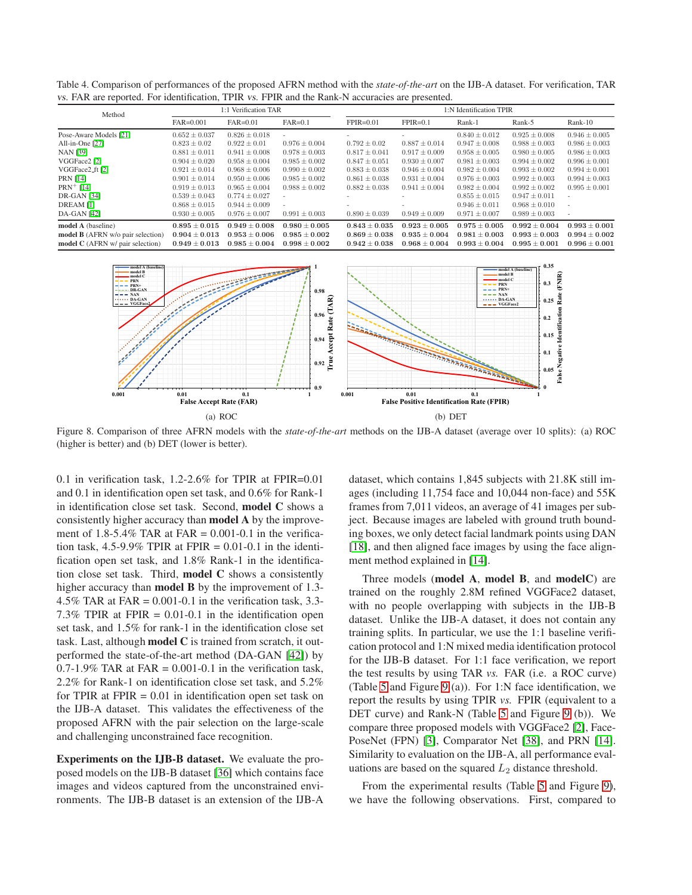<span id="page-6-0"></span>Table 4. Comparison of performances of the proposed AFRN method with the *state-of-the-art* on the IJB-A dataset. For verification, TAR vs. FAR are reported. For identification, TPIR vs. FPIR and the Rank-N accuracies are presented.

| Method                                   |                   | 1:1 Verification TAR |                   | 1:N Identification TPIR |                   |                   |                   |                   |  |
|------------------------------------------|-------------------|----------------------|-------------------|-------------------------|-------------------|-------------------|-------------------|-------------------|--|
|                                          | $FAR=0.001$       | $FAR=0.01$           | $FAR=0.1$         | $FPIR=0.01$             | $FPIR=0.1$        | Rank-1            | Rank-5            | $Rank-10$         |  |
| Pose-Aware Models [21]                   | $0.652 \pm 0.037$ | $0.826 \pm 0.018$    | ٠                 |                         |                   | $0.840 \pm 0.012$ | $0.925 \pm 0.008$ | $0.946 \pm 0.005$ |  |
| All-in-One $[27]$                        | $0.823 \pm 0.02$  | $0.922 \pm 0.01$     | $0.976 \pm 0.004$ | $0.792 \pm 0.02$        | $0.887 \pm 0.014$ | $0.947 \pm 0.008$ | $0.988 \pm 0.003$ | $0.986 \pm 0.003$ |  |
| <b>NAN</b> [39]                          | $0.881 \pm 0.011$ | $0.941 \pm 0.008$    | $0.978 \pm 0.003$ | $0.817 \pm 0.041$       | $0.917 \pm 0.009$ | $0.958 \pm 0.005$ | $0.980 \pm 0.005$ | $0.986 \pm 0.003$ |  |
| VGGFace2 <sup>[2]</sup>                  | $0.904 \pm 0.020$ | $0.958 \pm 0.004$    | $0.985 \pm 0.002$ | $0.847 \pm 0.051$       | $0.930 \pm 0.007$ | $0.981 \pm 0.003$ | $0.994 \pm 0.002$ | $0.996 \pm 0.001$ |  |
| VGGFace2_ft [2]                          | $0.921 \pm 0.014$ | $0.968 \pm 0.006$    | $0.990 \pm 0.002$ | $0.883 \pm 0.038$       | $0.946 \pm 0.004$ | $0.982 \pm 0.004$ | $0.993 \pm 0.002$ | $0.994 \pm 0.001$ |  |
| <b>PRN [14]</b>                          | $0.901 \pm 0.014$ | $0.950 \pm 0.006$    | $0.985 \pm 0.002$ | $0.861 \pm 0.038$       | $0.931 \pm 0.004$ | $0.976 \pm 0.003$ | $0.992 \pm 0.003$ | $0.994 \pm 0.003$ |  |
| $PRN^{+}$ [14]                           | $0.919 \pm 0.013$ | $0.965 \pm 0.004$    | $0.988 \pm 0.002$ | $0.882 \pm 0.038$       | $0.941 \pm 0.004$ | $0.982 \pm 0.004$ | $0.992 \pm 0.002$ | $0.995 \pm 0.001$ |  |
| DR-GAN [34]                              | $0.539 \pm 0.043$ | $0.774 \pm 0.027$    | ٠                 |                         |                   | $0.855 \pm 0.015$ | $0.947 \pm 0.011$ | ٠                 |  |
| DREAM [1]                                | $0.868 \pm 0.015$ | $0.944 \pm 0.009$    | ×.                |                         |                   | $0.946 \pm 0.011$ | $0.968 \pm 0.010$ | ٠                 |  |
| <b>DA-GAN</b> [42]                       | $0.930 \pm 0.005$ | $0.976 \pm 0.007$    | $0.991 \pm 0.003$ | $0.890 \pm 0.039$       | $0.949 \pm 0.009$ | $0.971 \pm 0.007$ | $0.989 \pm 0.003$ |                   |  |
| model A (baseline)                       | $0.895 \pm 0.015$ | $0.949 \pm 0.008$    | $0.980 + 0.005$   | $0.843 \pm 0.035$       | $0.923 \pm 0.005$ | $0.975 \pm 0.005$ | $0.992 \pm 0.004$ | $0.993 \pm 0.001$ |  |
| <b>model B</b> (AFRN w/o pair selection) | $0.904 \pm 0.013$ | $0.953 \pm 0.006$    | $0.985 \pm 0.002$ | $0.869 \pm 0.038$       | $0.935 \pm 0.004$ | $0.981 \pm 0.003$ | $0.993 \pm 0.003$ | $0.994 \pm 0.002$ |  |
| <b>model C</b> (AFRN w/ pair selection)  | $0.949 \pm 0.013$ | $0.985 \pm 0.004$    | $0.998 \pm 0.002$ | $0.942 \pm 0.038$       | $0.968 + 0.004$   | $0.993 \pm 0.004$ | $0.995 \pm 0.001$ | $0.996 \pm 0.001$ |  |



<span id="page-6-1"></span>Figure 8. Comparison of three AFRN models with the *state-of-the-art* methods on the IJB-A dataset (average over 10 splits): (a) ROC (higher is better) and (b) DET (lower is better).

0.1 in verification task, 1.2-2.6% for TPIR at FPIR=0.01 and 0.1 in identification open set task, and 0.6% for Rank-1 in identification close set task. Second, model C shows a consistently higher accuracy than model A by the improvement of 1.8-5.4% TAR at FAR  $= 0.001$ -0.1 in the verification task, 4.5-9.9% TPIR at FPIR =  $0.01$ - $0.1$  in the identification open set task, and 1.8% Rank-1 in the identification close set task. Third, model C shows a consistently higher accuracy than **model B** by the improvement of 1.3-4.5% TAR at FAR  $= 0.001$ -0.1 in the verification task, 3.3-7.3% TPIR at FPIR =  $0.01$ -0.1 in the identification open set task, and 1.5% for rank-1 in the identification close set task. Last, although model C is trained from scratch, it outperformed the state-of-the-art method (DA-GAN [\[42\]](#page-9-14)) by  $0.7-1.9\%$  TAR at FAR =  $0.001-0.1$  in the verification task. 2.2% for Rank-1 on identification close set task, and 5.2% for TPIR at  $FPIR = 0.01$  in identification open set task on the IJB-A dataset. This validates the effectiveness of the proposed AFRN with the pair selection on the large-scale and challenging unconstrained face recognition.

Experiments on the IJB-B dataset. We evaluate the proposed models on the IJB-B dataset [\[36\]](#page-9-8) which contains face images and videos captured from the unconstrained environments. The IJB-B dataset is an extension of the IJB-A dataset, which contains 1,845 subjects with 21.8K still images (including 11,754 face and 10,044 non-face) and 55K frames from 7,011 videos, an average of 41 images per subject. Because images are labeled with ground truth bounding boxes, we only detect facial landmark points using DAN [\[18\]](#page-8-15), and then aligned face images by using the face alignment method explained in [\[14\]](#page-8-6).

Three models (model A, model B, and modelC) are trained on the roughly 2.8M refined VGGFace2 dataset, with no people overlapping with subjects in the IJB-B dataset. Unlike the IJB-A dataset, it does not contain any training splits. In particular, we use the 1:1 baseline verification protocol and 1:N mixed media identification protocol for the IJB-B dataset. For 1:1 face verification, we report the test results by using TAR *vs.* FAR (i.e. a ROC curve) (Table [5](#page-7-0) and Figure [9](#page-7-1) (a)). For 1:N face identification, we report the results by using TPIR *vs.* FPIR (equivalent to a DET curve) and Rank-N (Table [5](#page-7-0) and Figure [9](#page-7-1) (b)). We compare three proposed models with VGGFace2 [\[2\]](#page-8-14), Face-PoseNet (FPN) [\[3\]](#page-8-22), Comparator Net [\[38\]](#page-9-5), and PRN [\[14\]](#page-8-6). Similarity to evaluation on the IJB-A, all performance evaluations are based on the squared  $L_2$  distance threshold.

From the experimental results (Table [5](#page-7-0) and Figure [9\)](#page-7-1), we have the following observations. First, compared to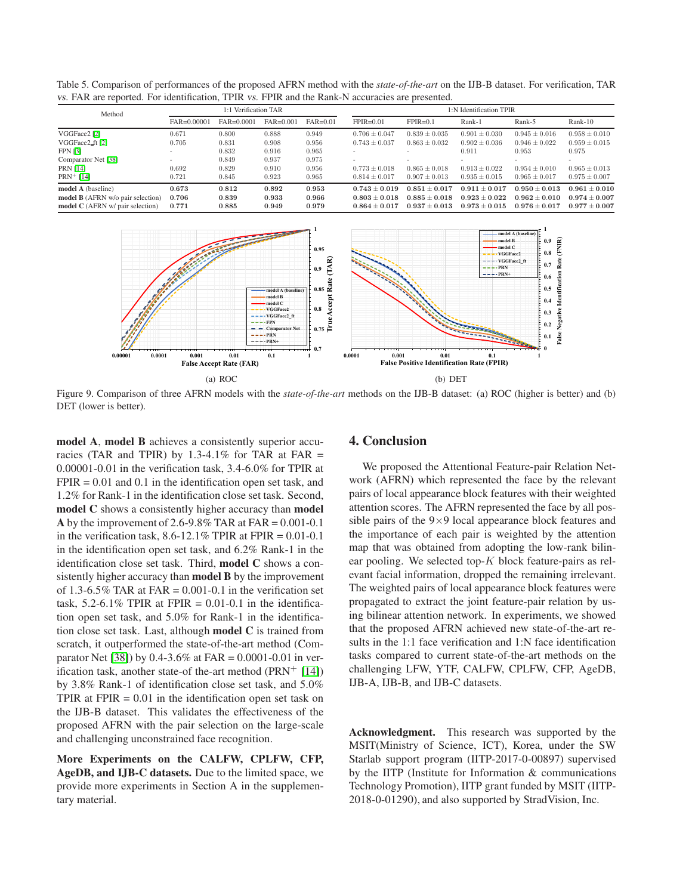<span id="page-7-0"></span>Table 5. Comparison of performances of the proposed AFRN method with the *state-of-the-art* on the IJB-B dataset. For verification, TAR vs. FAR are reported. For identification, TPIR vs. FPIR and the Rank-N accuracies are presented.

| Method                                  | 1:1 Verification TAR |            |             | 1:N Identification TPIR |                          |                   |                   |                   |                   |
|-----------------------------------------|----------------------|------------|-------------|-------------------------|--------------------------|-------------------|-------------------|-------------------|-------------------|
|                                         | FAR=0.00001          | FAR=0.0001 | $FAR=0.001$ | $FAR=0.01$              | $FPIR=0.01$              | $FPIR=0.1$        | Rank-1            | Rank-5            | $Rank-10$         |
| VGGFace2 <sup>[2]</sup>                 | 0.671                | 0.800      | 0.888       | 0.949                   | $0.706 \pm 0.047$        | $0.839 \pm 0.035$ | $0.901 \pm 0.030$ | $0.945 \pm 0.016$ | $0.958 \pm 0.010$ |
| VGGFace2_ft [2]                         | 0.705                | 0.831      | 0.908       | 0.956                   | $0.743 \pm 0.037$        | $0.863 \pm 0.032$ | $0.902 \pm 0.036$ | $0.946 \pm 0.022$ | $0.959 \pm 0.015$ |
| <b>FPN [3]</b>                          | ۰                    | 0.832      | 0.916       | 0.965                   | $\overline{\phantom{a}}$ | ۰                 | 0.911             | 0.953             | 0.975             |
| Comparator Net [38]                     | $\sim$               | 0.849      | 0.937       | 0.975                   |                          |                   |                   | $\sim$            |                   |
| <b>PRN</b> [14]                         | 0.692                | 0.829      | 0.910       | 0.956                   | $0.773 \pm 0.018$        | $0.865 \pm 0.018$ | $0.913 \pm 0.022$ | $0.954 \pm 0.010$ | $0.965 \pm 0.013$ |
| $PRN^{+}$ [14]                          | 0.721                | 0.845      | 0.923       | 0.965                   | $0.814 \pm 0.017$        | $0.907 \pm 0.013$ | $0.935 \pm 0.015$ | $0.965 \pm 0.017$ | $0.975 \pm 0.007$ |
| model A (baseline)                      | 0.673                | 0.812      | 0.892       | 0.953                   | $0.743 + 0.019$          | $0.851 + 0.017$   | $0.911 + 0.017$   | $0.950 + 0.013$   | $0.961 + 0.010$   |
| model B (AFRN w/o pair selection)       | 0.706                | 0.839      | 0.933       | 0.966                   | $0.803 + 0.018$          | $0.885 + 0.018$   | $0.923 + 0.022$   | $0.962 \pm 0.010$ | $0.974 + 0.007$   |
| <b>model C</b> (AFRN w/ pair selection) | 0.771                | 0.885      | 0.949       | 0.979                   | $0.864 + 0.017$          | $0.937 + 0.013$   | $0.973 \pm 0.015$ | $0.976 \pm 0.017$ | $0.977 + 0.007$   |



<span id="page-7-1"></span>Figure 9. Comparison of three AFRN models with the *state-of-the-art* methods on the IJB-B dataset: (a) ROC (higher is better) and (b) DET (lower is better).

model A, model B achieves a consistently superior accuracies (TAR and TPIR) by 1.3-4.1% for TAR at FAR  $=$ 0.00001-0.01 in the verification task, 3.4-6.0% for TPIR at  $FPIR = 0.01$  and 0.1 in the identification open set task, and 1.2% for Rank-1 in the identification close set task. Second, model C shows a consistently higher accuracy than model A by the improvement of 2.6-9.8% TAR at FAR =  $0.001$ -0.1 in the verification task,  $8.6-12.1\%$  TPIR at FPIR = 0.01-0.1 in the identification open set task, and 6.2% Rank-1 in the identification close set task. Third, model C shows a consistently higher accuracy than model B by the improvement of 1.3-6.5% TAR at FAR =  $0.001$ -0.1 in the verification set task,  $5.2-6.1\%$  TPIR at FPIR = 0.01-0.1 in the identification open set task, and 5.0% for Rank-1 in the identification close set task. Last, although model C is trained from scratch, it outperformed the state-of-the-art method (Comparator Net [\[38\]](#page-9-5)) by 0.4-3.6% at FAR = 0.0001-0.01 in verification task, another state-of the-art method ( $PRN^{+}$  [\[14\]](#page-8-6)) by 3.8% Rank-1 of identification close set task, and 5.0% TPIR at  $FPIR = 0.01$  in the identification open set task on the IJB-B dataset. This validates the effectiveness of the proposed AFRN with the pair selection on the large-scale and challenging unconstrained face recognition.

More Experiments on the CALFW, CPLFW, CFP, AgeDB, and IJB-C datasets. Due to the limited space, we provide more experiments in Section A in the supplementary material.

# 4. Conclusion

We proposed the Attentional Feature-pair Relation Network (AFRN) which represented the face by the relevant pairs of local appearance block features with their weighted attention scores. The AFRN represented the face by all possible pairs of the  $9\times9$  local appearance block features and the importance of each pair is weighted by the attention map that was obtained from adopting the low-rank bilinear pooling. We selected top- $K$  block feature-pairs as relevant facial information, dropped the remaining irrelevant. The weighted pairs of local appearance block features were propagated to extract the joint feature-pair relation by using bilinear attention network. In experiments, we showed that the proposed AFRN achieved new state-of-the-art results in the 1:1 face verification and 1:N face identification tasks compared to current state-of-the-art methods on the challenging LFW, YTF, CALFW, CPLFW, CFP, AgeDB, IJB-A, IJB-B, and IJB-C datasets.

Acknowledgment. This research was supported by the MSIT(Ministry of Science, ICT), Korea, under the SW Starlab support program (IITP-2017-0-00897) supervised by the IITP (Institute for Information & communications Technology Promotion), IITP grant funded by MSIT (IITP-2018-0-01290), and also supported by StradVision, Inc.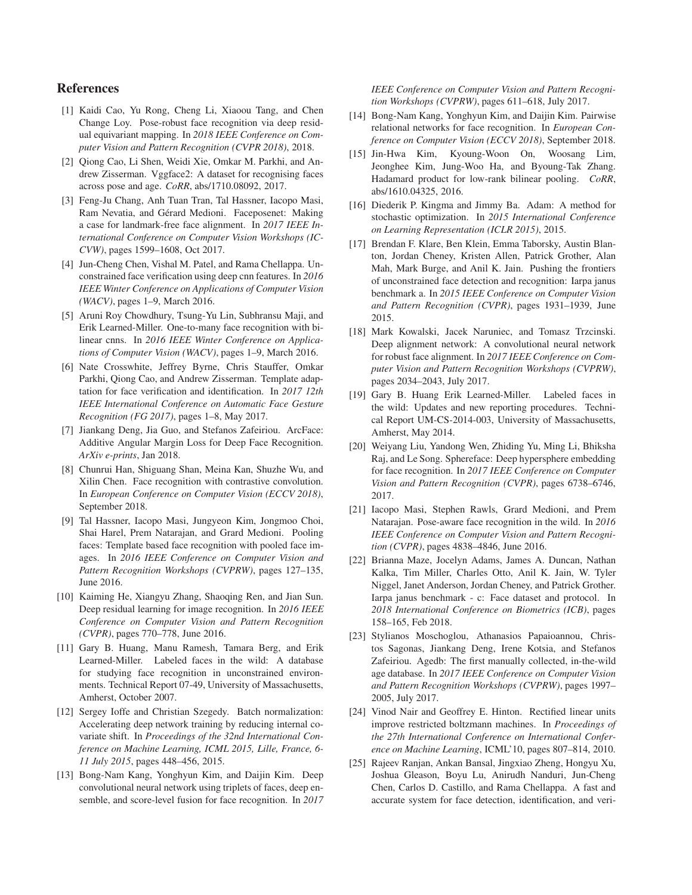# <span id="page-8-21"></span>References

- [1] Kaidi Cao, Yu Rong, Cheng Li, Xiaoou Tang, and Chen Change Loy. Pose-robust face recognition via deep residual equivariant mapping. In *2018 IEEE Conference on Computer Vision and Pattern Recognition (CVPR 2018)*, 2018.
- <span id="page-8-14"></span>[2] Qiong Cao, Li Shen, Weidi Xie, Omkar M. Parkhi, and Andrew Zisserman. Vggface2: A dataset for recognising faces across pose and age. *CoRR*, abs/1710.08092, 2017.
- <span id="page-8-22"></span>[3] Feng-Ju Chang, Anh Tuan Tran, Tal Hassner, Iacopo Masi, Ram Nevatia, and Gérard Medioni. Faceposenet: Making a case for landmark-free face alignment. In *2017 IEEE International Conference on Computer Vision Workshops (IC-CVW)*, pages 1599–1608, Oct 2017.
- <span id="page-8-0"></span>[4] Jun-Cheng Chen, Vishal M. Patel, and Rama Chellappa. Unconstrained face verification using deep cnn features. In *2016 IEEE Winter Conference on Applications of Computer Vision (WACV)*, pages 1–9, March 2016.
- <span id="page-8-1"></span>[5] Aruni Roy Chowdhury, Tsung-Yu Lin, Subhransu Maji, and Erik Learned-Miller. One-to-many face recognition with bilinear cnns. In *2016 IEEE Winter Conference on Applications of Computer Vision (WACV)*, pages 1–9, March 2016.
- <span id="page-8-4"></span>[6] Nate Crosswhite, Jeffrey Byrne, Chris Stauffer, Omkar Parkhi, Qiong Cao, and Andrew Zisserman. Template adaptation for face verification and identification. In *2017 12th IEEE International Conference on Automatic Face Gesture Recognition (FG 2017)*, pages 1–8, May 2017.
- <span id="page-8-20"></span>[7] Jiankang Deng, Jia Guo, and Stefanos Zafeiriou. ArcFace: Additive Angular Margin Loss for Deep Face Recognition. *ArXiv e-prints*, Jan 2018.
- <span id="page-8-5"></span>[8] Chunrui Han, Shiguang Shan, Meina Kan, Shuzhe Wu, and Xilin Chen. Face recognition with contrastive convolution. In *European Conference on Computer Vision (ECCV 2018)*, September 2018.
- <span id="page-8-2"></span>[9] Tal Hassner, Iacopo Masi, Jungyeon Kim, Jongmoo Choi, Shai Harel, Prem Natarajan, and Grard Medioni. Pooling faces: Template based face recognition with pooled face images. In *2016 IEEE Conference on Computer Vision and Pattern Recognition Workshops (CVPRW)*, pages 127–135, June 2016.
- <span id="page-8-11"></span>[10] Kaiming He, Xiangyu Zhang, Shaoqing Ren, and Jian Sun. Deep residual learning for image recognition. In *2016 IEEE Conference on Computer Vision and Pattern Recognition (CVPR)*, pages 770–778, June 2016.
- <span id="page-8-7"></span>[11] Gary B. Huang, Manu Ramesh, Tamara Berg, and Erik Learned-Miller. Labeled faces in the wild: A database for studying face recognition in unconstrained environments. Technical Report 07-49, University of Massachusetts, Amherst, October 2007.
- <span id="page-8-16"></span>[12] Sergey Ioffe and Christian Szegedy. Batch normalization: Accelerating deep network training by reducing internal covariate shift. In *Proceedings of the 32nd International Conference on Machine Learning, ICML 2015, Lille, France, 6- 11 July 2015*, pages 448–456, 2015.
- <span id="page-8-17"></span>[13] Bong-Nam Kang, Yonghyun Kim, and Daijin Kim. Deep convolutional neural network using triplets of faces, deep ensemble, and score-level fusion for face recognition. In *2017*

*IEEE Conference on Computer Vision and Pattern Recognition Workshops (CVPRW)*, pages 611–618, July 2017.

- <span id="page-8-6"></span>[14] Bong-Nam Kang, Yonghyun Kim, and Daijin Kim. Pairwise relational networks for face recognition. In *European Conference on Computer Vision (ECCV 2018)*, September 2018.
- <span id="page-8-12"></span>[15] Jin-Hwa Kim, Kyoung-Woon On, Woosang Lim, Jeonghee Kim, Jung-Woo Ha, and Byoung-Tak Zhang. Hadamard product for low-rank bilinear pooling. *CoRR*, abs/1610.04325, 2016.
- <span id="page-8-18"></span>[16] Diederik P. Kingma and Jimmy Ba. Adam: A method for stochastic optimization. In *2015 International Conference on Learning Representation (ICLR 2015)*, 2015.
- <span id="page-8-9"></span>[17] Brendan F. Klare, Ben Klein, Emma Taborsky, Austin Blanton, Jordan Cheney, Kristen Allen, Patrick Grother, Alan Mah, Mark Burge, and Anil K. Jain. Pushing the frontiers of unconstrained face detection and recognition: Iarpa janus benchmark a. In *2015 IEEE Conference on Computer Vision and Pattern Recognition (CVPR)*, pages 1931–1939, June 2015.
- <span id="page-8-15"></span>[18] Mark Kowalski, Jacek Naruniec, and Tomasz Trzcinski. Deep alignment network: A convolutional neural network for robust face alignment. In *2017 IEEE Conference on Computer Vision and Pattern Recognition Workshops (CVPRW)*, pages 2034–2043, July 2017.
- <span id="page-8-19"></span>[19] Gary B. Huang Erik Learned-Miller. Labeled faces in the wild: Updates and new reporting procedures. Technical Report UM-CS-2014-003, University of Massachusetts, Amherst, May 2014.
- <span id="page-8-23"></span>[20] Weiyang Liu, Yandong Wen, Zhiding Yu, Ming Li, Bhiksha Raj, and Le Song. Sphereface: Deep hypersphere embedding for face recognition. In *2017 IEEE Conference on Computer Vision and Pattern Recognition (CVPR)*, pages 6738–6746, 2017.
- <span id="page-8-3"></span>[21] Iacopo Masi, Stephen Rawls, Grard Medioni, and Prem Natarajan. Pose-aware face recognition in the wild. In *2016 IEEE Conference on Computer Vision and Pattern Recognition (CVPR)*, pages 4838–4846, June 2016.
- <span id="page-8-10"></span>[22] Brianna Maze, Jocelyn Adams, James A. Duncan, Nathan Kalka, Tim Miller, Charles Otto, Anil K. Jain, W. Tyler Niggel, Janet Anderson, Jordan Cheney, and Patrick Grother. Iarpa janus benchmark - c: Face dataset and protocol. In *2018 International Conference on Biometrics (ICB)*, pages 158–165, Feb 2018.
- <span id="page-8-8"></span>[23] Stylianos Moschoglou, Athanasios Papaioannou, Christos Sagonas, Jiankang Deng, Irene Kotsia, and Stefanos Zafeiriou. Agedb: The first manually collected, in-the-wild age database. In *2017 IEEE Conference on Computer Vision and Pattern Recognition Workshops (CVPRW)*, pages 1997– 2005, July 2017.
- <span id="page-8-13"></span>[24] Vinod Nair and Geoffrey E. Hinton. Rectified linear units improve restricted boltzmann machines. In *Proceedings of the 27th International Conference on International Conference on Machine Learning*, ICML'10, pages 807–814, 2010.
- <span id="page-8-24"></span>[25] Rajeev Ranjan, Ankan Bansal, Jingxiao Zheng, Hongyu Xu, Joshua Gleason, Boyu Lu, Anirudh Nanduri, Jun-Cheng Chen, Carlos D. Castillo, and Rama Chellappa. A fast and accurate system for face detection, identification, and veri-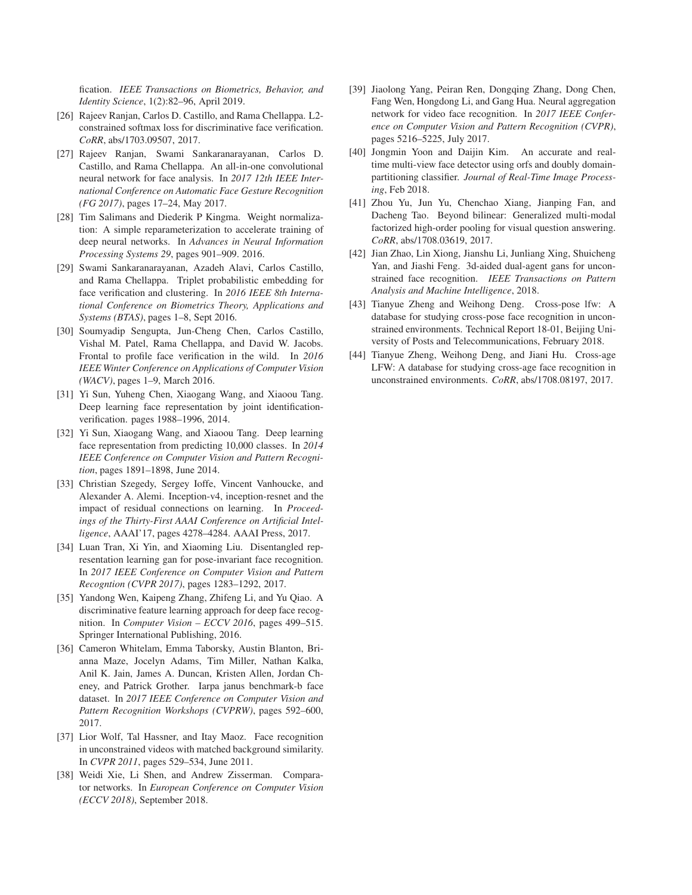fication. *IEEE Transactions on Biometrics, Behavior, and Identity Science*, 1(2):82–96, April 2019.

- <span id="page-9-2"></span>[26] Rajeev Ranjan, Carlos D. Castillo, and Rama Chellappa. L2constrained softmax loss for discriminative face verification. *CoRR*, abs/1703.09507, 2017.
- <span id="page-9-12"></span>[27] Rajeev Ranjan, Swami Sankaranarayanan, Carlos D. Castillo, and Rama Chellappa. An all-in-one convolutional neural network for face analysis. In *2017 12th IEEE International Conference on Automatic Face Gesture Recognition (FG 2017)*, pages 17–24, May 2017.
- <span id="page-9-10"></span>[28] Tim Salimans and Diederik P Kingma. Weight normalization: A simple reparameterization to accelerate training of deep neural networks. In *Advances in Neural Information Processing Systems 29*, pages 901–909. 2016.
- <span id="page-9-0"></span>[29] Swami Sankaranarayanan, Azadeh Alavi, Carlos Castillo, and Rama Chellappa. Triplet probabilistic embedding for face verification and clustering. In *2016 IEEE 8th International Conference on Biometrics Theory, Applications and Systems (BTAS)*, pages 1–8, Sept 2016.
- <span id="page-9-7"></span>[30] Soumyadip Sengupta, Jun-Cheng Chen, Carlos Castillo, Vishal M. Patel, Rama Chellappa, and David W. Jacobs. Frontal to profile face verification in the wild. In *2016 IEEE Winter Conference on Applications of Computer Vision (WACV)*, pages 1–9, March 2016.
- <span id="page-9-4"></span>[31] Yi Sun, Yuheng Chen, Xiaogang Wang, and Xiaoou Tang. Deep learning face representation by joint identificationverification. pages 1988–1996, 2014.
- <span id="page-9-3"></span>[32] Yi Sun, Xiaogang Wang, and Xiaoou Tang. Deep learning face representation from predicting 10,000 classes. In *2014 IEEE Conference on Computer Vision and Pattern Recognition*, pages 1891–1898, June 2014.
- <span id="page-9-18"></span>[33] Christian Szegedy, Sergey Ioffe, Vincent Vanhoucke, and Alexander A. Alemi. Inception-v4, inception-resnet and the impact of residual connections on learning. In *Proceedings of the Thirty-First AAAI Conference on Artificial Intelligence*, AAAI'17, pages 4278–4284. AAAI Press, 2017.
- <span id="page-9-13"></span>[34] Luan Tran, Xi Yin, and Xiaoming Liu. Disentangled representation learning gan for pose-invariant face recognition. In *2017 IEEE Conference on Computer Vision and Pattern Recogntion (CVPR 2017)*, pages 1283–1292, 2017.
- <span id="page-9-17"></span>[35] Yandong Wen, Kaipeng Zhang, Zhifeng Li, and Yu Qiao. A discriminative feature learning approach for deep face recognition. In *Computer Vision – ECCV 2016*, pages 499–515. Springer International Publishing, 2016.
- <span id="page-9-8"></span>[36] Cameron Whitelam, Emma Taborsky, Austin Blanton, Brianna Maze, Jocelyn Adams, Tim Miller, Nathan Kalka, Anil K. Jain, James A. Duncan, Kristen Allen, Jordan Cheney, and Patrick Grother. Iarpa janus benchmark-b face dataset. In *2017 IEEE Conference on Computer Vision and Pattern Recognition Workshops (CVPRW)*, pages 592–600, 2017.
- <span id="page-9-6"></span>[37] Lior Wolf, Tal Hassner, and Itay Maoz. Face recognition in unconstrained videos with matched background similarity. In *CVPR 2011*, pages 529–534, June 2011.
- <span id="page-9-5"></span>[38] Weidi Xie, Li Shen, and Andrew Zisserman. Comparator networks. In *European Conference on Computer Vision (ECCV 2018)*, September 2018.
- <span id="page-9-1"></span>[39] Jiaolong Yang, Peiran Ren, Dongqing Zhang, Dong Chen, Fang Wen, Hongdong Li, and Gang Hua. Neural aggregation network for video face recognition. In *2017 IEEE Conference on Computer Vision and Pattern Recognition (CVPR)*, pages 5216–5225, July 2017.
- <span id="page-9-9"></span>[40] Jongmin Yoon and Daijin Kim. An accurate and realtime multi-view face detector using orfs and doubly domainpartitioning classifier. *Journal of Real-Time Image Processing*, Feb 2018.
- <span id="page-9-11"></span>[41] Zhou Yu, Jun Yu, Chenchao Xiang, Jianping Fan, and Dacheng Tao. Beyond bilinear: Generalized multi-modal factorized high-order pooling for visual question answering. *CoRR*, abs/1708.03619, 2017.
- <span id="page-9-14"></span>[42] Jian Zhao, Lin Xiong, Jianshu Li, Junliang Xing, Shuicheng Yan, and Jiashi Feng. 3d-aided dual-agent gans for unconstrained face recognition. *IEEE Transactions on Pattern Analysis and Machine Intelligence*, 2018.
- <span id="page-9-16"></span>[43] Tianyue Zheng and Weihong Deng. Cross-pose lfw: A database for studying cross-pose face recognition in unconstrained environments. Technical Report 18-01, Beijing University of Posts and Telecommunications, February 2018.
- <span id="page-9-15"></span>[44] Tianyue Zheng, Weihong Deng, and Jiani Hu. Cross-age LFW: A database for studying cross-age face recognition in unconstrained environments. *CoRR*, abs/1708.08197, 2017.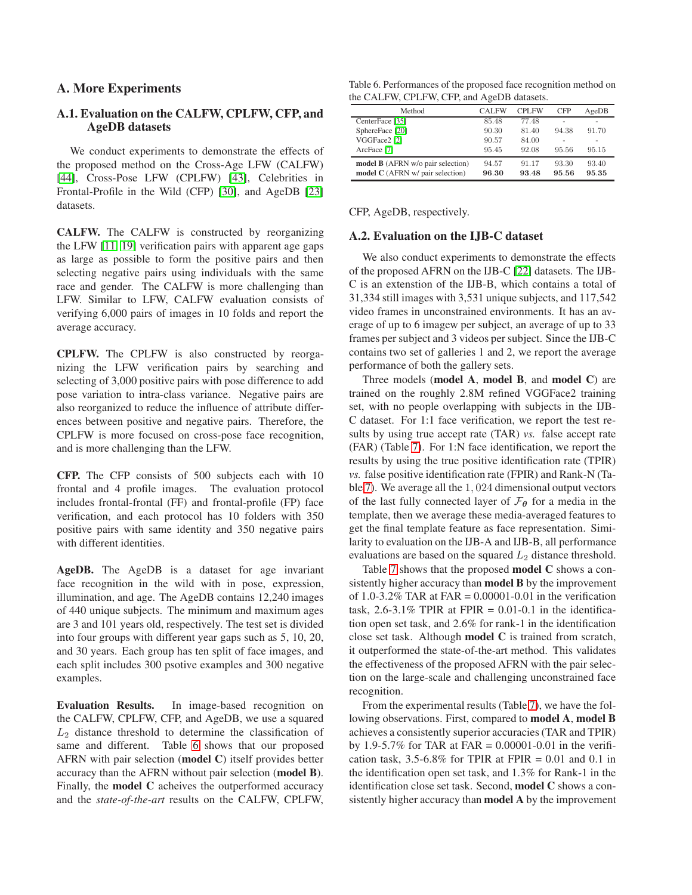# A. More Experiments

# A.1. Evaluation on the CALFW, CPLFW, CFP, and AgeDB datasets

We conduct experiments to demonstrate the effects of the proposed method on the Cross-Age LFW (CALFW) [\[44\]](#page-9-15), Cross-Pose LFW (CPLFW) [\[43\]](#page-9-16), Celebrities in Frontal-Profile in the Wild (CFP) [\[30\]](#page-9-7), and AgeDB [\[23\]](#page-8-8) datasets.

CALFW. The CALFW is constructed by reorganizing the LFW [\[11,](#page-8-7) [19\]](#page-8-19) verification pairs with apparent age gaps as large as possible to form the positive pairs and then selecting negative pairs using individuals with the same race and gender. The CALFW is more challenging than LFW. Similar to LFW, CALFW evaluation consists of verifying 6,000 pairs of images in 10 folds and report the average accuracy.

CPLFW. The CPLFW is also constructed by reorganizing the LFW verification pairs by searching and selecting of 3,000 positive pairs with pose difference to add pose variation to intra-class variance. Negative pairs are also reorganized to reduce the influence of attribute differences between positive and negative pairs. Therefore, the CPLFW is more focused on cross-pose face recognition, and is more challenging than the LFW.

CFP. The CFP consists of 500 subjects each with 10 frontal and 4 profile images. The evaluation protocol includes frontal-frontal (FF) and frontal-profile (FP) face verification, and each protocol has 10 folders with 350 positive pairs with same identity and 350 negative pairs with different identities.

AgeDB. The AgeDB is a dataset for age invariant face recognition in the wild with in pose, expression, illumination, and age. The AgeDB contains 12,240 images of 440 unique subjects. The minimum and maximum ages are 3 and 101 years old, respectively. The test set is divided into four groups with different year gaps such as 5, 10, 20, and 30 years. Each group has ten split of face images, and each split includes 300 psotive examples and 300 negative examples.

Evaluation Results. In image-based recognition on the CALFW, CPLFW, CFP, and AgeDB, we use a squared  $L_2$  distance threshold to determine the classification of same and different. Table [6](#page-10-0) shows that our proposed AFRN with pair selection (model C) itself provides better accuracy than the AFRN without pair selection (model B). Finally, the model C acheives the outperformed accuracy and the *state-of-the-art* results on the CALFW, CPLFW,

<span id="page-10-0"></span>Table 6. Performances of the proposed face recognition method on the CALFW, CPLFW, CFP, and AgeDB datasets.

| Method                                   | <b>CALFW</b> | <b>CPLFW</b> | <b>CFP</b> | AgeDB |
|------------------------------------------|--------------|--------------|------------|-------|
| CenterFace [35]                          | 85.48        | 77.48        | ۰          |       |
| SphereFace [20]                          | 90.30        | 81.40        | 94.38      | 91.70 |
| VGGFace2 <sup>[2]</sup>                  | 90.57        | 84.00        | ۰          |       |
| ArcFace [7]                              | 95.45        | 92.08        | 95.56      | 95.15 |
| <b>model B</b> (AFRN w/o pair selection) | 94.57        | 91.17        | 93.30      | 93.40 |
| model C (AFRN w/ pair selection)         | 96.30        | 93.48        | 95.56      | 95.35 |

CFP, AgeDB, respectively.

## A.2. Evaluation on the IJB-C dataset

We also conduct experiments to demonstrate the effects of the proposed AFRN on the IJB-C [\[22\]](#page-8-10) datasets. The IJB-C is an extenstion of the IJB-B, which contains a total of 31,334 still images with 3,531 unique subjects, and 117,542 video frames in unconstrained environments. It has an average of up to 6 imagew per subject, an average of up to 33 frames per subject and 3 videos per subject. Since the IJB-C contains two set of galleries 1 and 2, we report the average performance of both the gallery sets.

Three models (model A, model B, and model C) are trained on the roughly 2.8M refined VGGFace2 training set, with no people overlapping with subjects in the IJB-C dataset. For 1:1 face verification, we report the test results by using true accept rate (TAR) *vs.* false accept rate (FAR) (Table [7\)](#page-11-0). For 1:N face identification, we report the results by using the true positive identification rate (TPIR) *vs.* false positive identification rate (FPIR) and Rank-N (Table [7\)](#page-11-0). We average all the 1, 024 dimensional output vectors of the last fully connected layer of  $\mathcal{F}_{\theta}$  for a media in the template, then we average these media-averaged features to get the final template feature as face representation. Similarity to evaluation on the IJB-A and IJB-B, all performance evaluations are based on the squared  $L_2$  distance threshold.

Table [7](#page-11-0) shows that the proposed model C shows a consistently higher accuracy than model B by the improvement of 1.0-3.2% TAR at  $FAR = 0.00001 - 0.01$  in the verification task, 2.6-3.1% TPIR at FPIR =  $0.01$ -0.1 in the identification open set task, and 2.6% for rank-1 in the identification close set task. Although model C is trained from scratch, it outperformed the state-of-the-art method. This validates the effectiveness of the proposed AFRN with the pair selection on the large-scale and challenging unconstrained face recognition.

From the experimental results (Table [7\)](#page-11-0), we have the following observations. First, compared to model A, model B achieves a consistently superior accuracies (TAR and TPIR) by 1.9-5.7% for TAR at FAR =  $0.00001$ -0.01 in the verification task,  $3.5\n-6.8\%$  for TPIR at FPIR = 0.01 and 0.1 in the identification open set task, and 1.3% for Rank-1 in the identification close set task. Second, model C shows a consistently higher accuracy than model A by the improvement